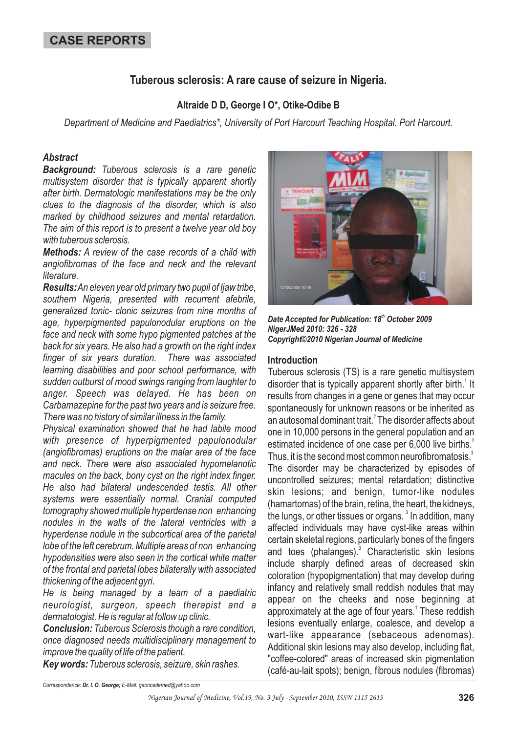## **Tuberous sclerosis: A rare cause of seizure in Nigeria.**

### **Altraide D D, George I O\*, Otike-Odibe B**

*Department of Medicine and Paediatrics\*, University of Port Harcourt Teaching Hospital. Port Harcourt.*

#### *Abstract*

*Background: Tuberous sclerosis is a rare genetic multisystem disorder that is typically apparent shortly after birth. Dermatologic manifestations may be the only clues to the diagnosis of the disorder, which is also marked by childhood seizures and mental retardation. The aim of this report is to present a twelve year old boy with tuberous sclerosis.*

*Methods: A review of the case records of a child with angiofibromas of the face and neck and the relevant literature.*

*Results: An eleven year old primary two pupil of Ijaw tribe, southern Nigeria, presented with recurrent afebrile, generalized tonic- clonic seizures from nine months of age, hyperpigmented papulonodular eruptions on the face and neck with some hypo pigmented patches at the back for six years. He also had a growth on the right index finger of six years duration. There was associated learning disabilities and poor school performance, with sudden outburst of mood swings ranging from laughter to anger. Speech was delayed. He has been on Carbamazepine for the past two years and is seizure free. There was no history of similar illness in the family.*

*Physical examination showed that he had labile mood with presence of hyperpigmented papulonodular (angiofibromas) eruptions on the malar area of the face and neck. There were also associated hypomelanotic macules on the back, bony cyst on the right index finger. He also had bilateral undescended testis. All other systems were essentially normal. Cranial computed tomography showed multiple hyperdense non enhancing nodules in the walls of the lateral ventricles with a hyperdense nodule in the subcortical area of the parietal lobe of the left cerebrum. Multiple areas of non enhancing hypodensities were also seen in the cortical white matter of the frontal and parietal lobes bilaterally with associated thickening of the adjacent gyri.*

*He is being managed by a team of a paediatric neurologist, surgeon, speech therapist and a dermatologist. He is regular at follow up clinic.*

*Conclusion: Tuberous Sclerosis though a rare condition, once diagnosed needs multidisciplinary management to improve the quality of life of the patient.*

*Key words: Tuberous sclerosis, seizure, skin rashes.*



Date Accepted for Publication: 18<sup>th</sup> October 2009 *NigerJMed 2010: 326 - 328 Copyright©2010 Nigerian Journal of Medicine*

#### **Introduction**

Tuberous sclerosis (TS) is a rare genetic multisystem disorder that is typically apparent shortly after birth.<sup>1</sup> It results from changes in a gene or genes that may occur spontaneously for unknown reasons or be inherited as an autosomal dominant trait. $^2$  The disorder affects about one in 10,000 persons in the general population and an estimated incidence of one case per 6,000 live births.<sup>2</sup> Thus, it is the second most common neurofibromatosis.<sup>3</sup> The disorder may be characterized by episodes of uncontrolled seizures; mental retardation; distinctive skin lesions; and benign, tumor-like nodules (hamartomas) of the brain, retina, the heart, the kidneys, the lungs, or other tissues or organs.  $^3$  In addition, many affected individuals may have cyst-like areas within certain skeletal regions, particularly bones of the fingers and toes (phalanges).<sup>3</sup> Characteristic skin lesions include sharply defined areas of decreased skin coloration (hypopigmentation) that may develop during infancy and relatively small reddish nodules that may appear on the cheeks and nose beginning at approximately at the age of four years.<sup>1</sup> These reddish lesions eventually enlarge, coalesce, and develop a wart-like appearance (sebaceous adenomas). Additional skin lesions may also develop, including flat, "coffee-colored" areas of increased skin pigmentation (café-au-lait spots); benign, fibrous nodules (fibromas)

*Correspondence: E-Mail: geonosdemed@yahoo.com Dr. I. O. George;*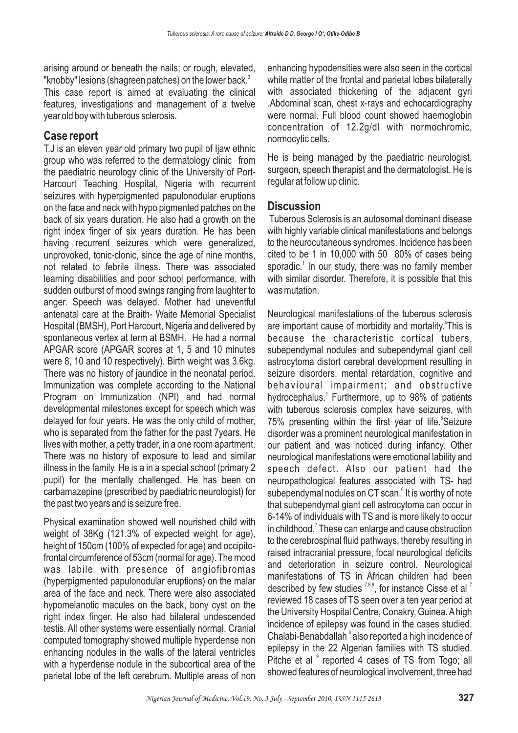arising around or beneath the nails; or rough, elevated, "knobby" lesions (shagreen patches) on the lower back.<sup>3</sup>

This case report is aimed at evaluating the clinical features, investigations and management of a twelve year old boy with tuberous sclerosis.

# **Case report**

T.J is an eleven year old primary two pupil of Ijaw ethnic group who was referred to the dermatology clinic from the paediatric neurology clinic of the University of Port-Harcourt Teaching Hospital, Nigeria with recurrent seizures with hyperpigmented papulonodular eruptions on the face and neck with hypo pigmented patches on the back of six years duration. He also had a growth on the right index finger of six years duration. He has been having recurrent seizures which were generalized, unprovoked, tonic-clonic, since the age of nine months, not related to febrile illness. There was associated learning disabilities and poor school performance, with sudden outburst of mood swings ranging from laughter to anger. Speech was delayed. Mother had uneventful antenatal care at the Braith- Waite Memorial Specialist Hospital (BMSH), Port Harcourt, Nigeria and delivered by spontaneous vertex at term at BSMH. He had a normal APGAR score (APGAR scores at 1, 5 and 10 minutes were 8, 10 and 10 respectively). Birth weight was 3.6kg. There was no history of jaundice in the neonatal period. Immunization was complete according to the National Program on Immunization (NPI) and had normal developmental milestones except for speech which was delayed for four years. He was the only child of mother, who is separated from the father for the past 7years. He lives with mother, a petty trader, in a one room apartment. There was no history of exposure to lead and similar illness in the family. He is a in a special school (primary 2 pupil) for the mentally challenged. He has been on carbamazepine (prescribed by paediatric neurologist) for the past two years and is seizure free.

Physical examination showed well nourished child with weight of 38Kg (121.3% of expected weight for age), height of 150cm (100% of expected for age) and occipitofrontal circumference of 53cm (normal for age). The mood was labile with presence of angiofibromas (hyperpigmented papulonodular eruptions) on the malar area of the face and neck. There were also associated hypomelanotic macules on the back, bony cyst on the right index finger. He also had bilateral undescended testis. All other systems were essentially normal. Cranial computed tomography showed multiple hyperdense non enhancing nodules in the walls of the lateral ventricles with a hyperdense nodule in the subcortical area of the parietal lobe of the left cerebrum. Multiple areas of non

enhancing hypodensities were also seen in the cortical white matter of the frontal and parietal lobes bilaterally with associated thickening of the adjacent gyri .Abdominal scan, chest x-rays and echocardiography were normal. Full blood count showed haemoglobin concentration of 12.2g/dl with normochromic, normocytic cells.

He is being managed by the paediatric neurologist, surgeon, speech therapist and the dermatologist. He is regular at follow up clinic.

## **Discussion**

Tuberous Sclerosis is an autosomal dominant disease with highly variable clinical manifestations and belongs to the neurocutaneous syndromes. Incidence has been cited to be 1 in 10,000 with 50 80% of cases being sporadic.<sup>1</sup> In our study, there was no family member with similar disorder. Therefore, it is possible that this was mutation.

Neurological manifestations of the tuberous sclerosis are important cause of morbidity and mortality.<sup>4</sup>This is because the characteristic cortical tubers, subependymal nodules and subependymal giant cell astrocytoma distort cerebral development resulting in seizure disorders, mental retardation, cognitive and behavioural impairment; and obstructive hydrocephalus.<sup>1</sup> Furthermore, up to 98% of patients with tuberous sclerosis complex have seizures, with 75% presenting within the first year of life.<sup>5</sup>Seizure disorder was a prominent neurological manifestation in our patient and was noticed during infancy. Other neurological manifestations were emotional lability and speech defect. Also our patient had the neuropathological features associated with TS- had subependymal nodules on CT scan.<sup>6</sup> It is worthy of note that subependymal giant cell astrocytoma can occur in 6-14% of individuals with TS and is more likely to occur in childhood.<sup>7</sup> These can enlarge and cause obstruction to the cerebrospinal fluid pathways, thereby resulting in raised intracranial pressure, focal neurological deficits and deterioration in seizure control. Neurological manifestations of TS in African children had been described by few studies  $7,8,9$ , for instance Cisse et al  $^7$ reviewed 18 cases of TS seen over a ten year period at the University Hospital Centre, Conakry, Guinea.Ahigh incidence of epilepsy was found in the cases studied. Chalabi-Benabdallah<sup>8</sup> also reported a high incidence of epilepsy in the 22 Algerian families with TS studied. Pitche et al <sup>9</sup> reported 4 cases of TS from Togo; all showed features of neurological involvement, three had